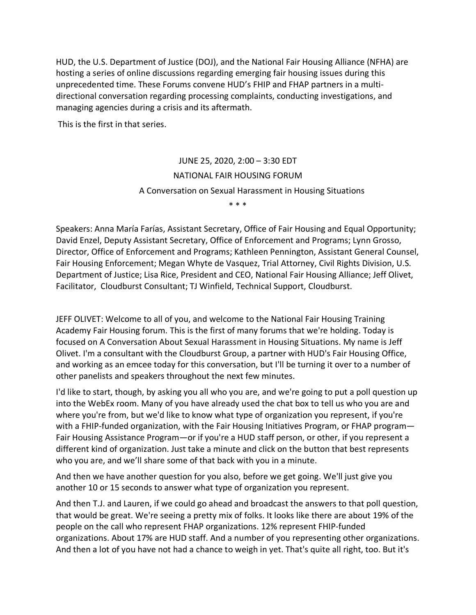HUD, the U.S. Department of Justice (DOJ), and the National Fair Housing Alliance (NFHA) are hosting a series of online discussions regarding emerging fair housing issues during this unprecedented time. These Forums convene HUD's FHIP and FHAP partners in a multidirectional conversation regarding processing complaints, conducting investigations, and managing agencies during a crisis and its aftermath.

This is the first in that series.

JUNE 25, 2020, 2:00 – 3:30 EDT NATIONAL FAIR HOUSING FORUM A Conversation on Sexual Harassment in Housing Situations \* \* \*

Speakers: Anna María Farías, Assistant Secretary, Office of Fair Housing and Equal Opportunity; [David Enzel,](https://www.hudexchange.info/programs/fair-housing/nfhta/bios/david-enzel/) Deputy Assistant Secretary, Office of Enforcement and Programs; [Lynn Grosso,](https://www.hudexchange.info/programs/fair-housing/nfhta/bios/lynn-grosso/) Director, Office of Enforcement and Programs; [Kathleen Pennington,](https://www.hudexchange.info/programs/fair-housing/nfhta/bios/kathleen-pennington/) Assistant General Counsel, Fair Housing Enforcement; [Megan Whyte de Vasquez,](https://www.hudexchange.info/programs/fair-housing/nfhta/bios/megan-whyte-de-vasquez/) Trial Attorney, Civil Rights Division, U.S. Department of Justice; [Lisa Rice,](https://www.hudexchange.info/programs/fair-housing/nfhta/bios/lisa-rice/) President and CEO, National Fair Housing Alliance; Jeff Olivet, Facilitator, Cloudburst Consultant; TJ Winfield, Technical Support, Cloudburst.

JEFF OLIVET: Welcome to all of you, and welcome to the National Fair Housing Training Academy Fair Housing forum. This is the first of many forums that we're holding. Today is focused on A Conversation About Sexual Harassment in Housing Situations. My name is Jeff Olivet. I'm a consultant with the Cloudburst Group, a partner with HUD's Fair Housing Office, and working as an emcee today for this conversation, but I'll be turning it over to a number of other panelists and speakers throughout the next few minutes.

I'd like to start, though, by asking you all who you are, and we're going to put a poll question up into the WebEx room. Many of you have already used the chat box to tell us who you are and where you're from, but we'd like to know what type of organization you represent, if you're with a FHIP-funded organization, with the Fair Housing Initiatives Program, or FHAP program— Fair Housing Assistance Program—or if you're a HUD staff person, or other, if you represent a different kind of organization. Just take a minute and click on the button that best represents who you are, and we'll share some of that back with you in a minute.

And then we have another question for you also, before we get going. We'll just give you another 10 or 15 seconds to answer what type of organization you represent.

And then T.J. and Lauren, if we could go ahead and broadcast the answers to that poll question, that would be great. We're seeing a pretty mix of folks. It looks like there are about 19% of the people on the call who represent FHAP organizations. 12% represent FHIP-funded organizations. About 17% are HUD staff. And a number of you representing other organizations. And then a lot of you have not had a chance to weigh in yet. That's quite all right, too. But it's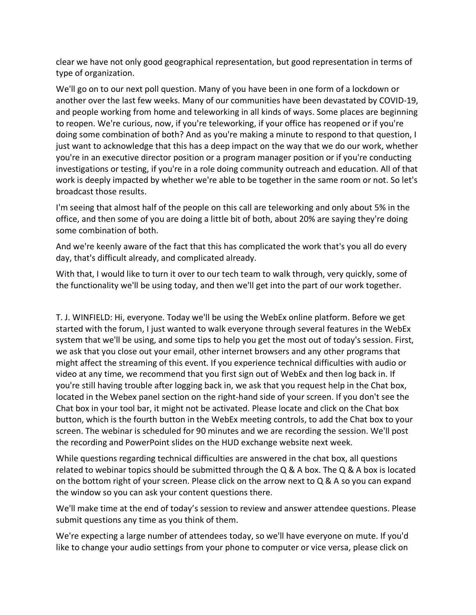clear we have not only good geographical representation, but good representation in terms of type of organization.

We'll go on to our next poll question. Many of you have been in one form of a lockdown or another over the last few weeks. Many of our communities have been devastated by COVID-19, and people working from home and teleworking in all kinds of ways. Some places are beginning to reopen. We're curious, now, if you're teleworking, if your office has reopened or if you're doing some combination of both? And as you're making a minute to respond to that question, I just want to acknowledge that this has a deep impact on the way that we do our work, whether you're in an executive director position or a program manager position or if you're conducting investigations or testing, if you're in a role doing community outreach and education. All of that work is deeply impacted by whether we're able to be together in the same room or not. So let's broadcast those results.

I'm seeing that almost half of the people on this call are teleworking and only about 5% in the office, and then some of you are doing a little bit of both, about 20% are saying they're doing some combination of both.

And we're keenly aware of the fact that this has complicated the work that's you all do every day, that's difficult already, and complicated already.

With that, I would like to turn it over to our tech team to walk through, very quickly, some of the functionality we'll be using today, and then we'll get into the part of our work together.

T. J. WINFIELD: Hi, everyone. Today we'll be using the WebEx online platform. Before we get started with the forum, I just wanted to walk everyone through several features in the WebEx system that we'll be using, and some tips to help you get the most out of today's session. First, we ask that you close out your email, other internet browsers and any other programs that might affect the streaming of this event. If you experience technical difficulties with audio or video at any time, we recommend that you first sign out of WebEx and then log back in. If you're still having trouble after logging back in, we ask that you request help in the Chat box, located in the Webex panel section on the right-hand side of your screen. If you don't see the Chat box in your tool bar, it might not be activated. Please locate and click on the Chat box button, which is the fourth button in the WebEx meeting controls, to add the Chat box to your screen. The webinar is scheduled for 90 minutes and we are recording the session. We'll post the recording and PowerPoint slides on the HUD exchange website next week.

While questions regarding technical difficulties are answered in the chat box, all questions related to webinar topics should be submitted through the  $Q & A$  box. The  $Q & A$  box is located on the bottom right of your screen. Please click on the arrow next to  $Q & A$  so you can expand the window so you can ask your content questions there.

We'll make time at the end of today's session to review and answer attendee questions. Please submit questions any time as you think of them.

We're expecting a large number of attendees today, so we'll have everyone on mute. If you'd like to change your audio settings from your phone to computer or vice versa, please click on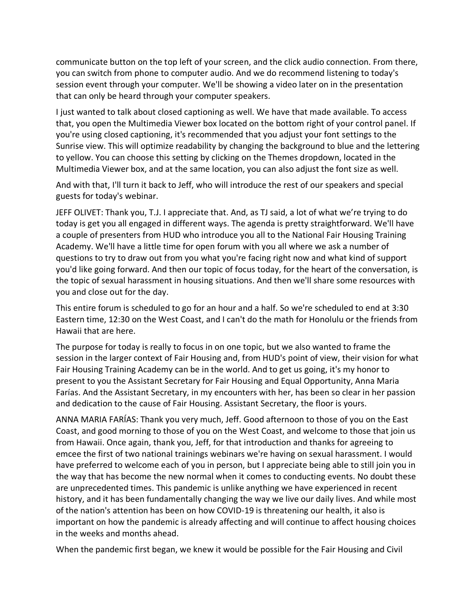communicate button on the top left of your screen, and the click audio connection. From there, you can switch from phone to computer audio. And we do recommend listening to today's session event through your computer. We'll be showing a video later on in the presentation that can only be heard through your computer speakers.

I just wanted to talk about closed captioning as well. We have that made available. To access that, you open the Multimedia Viewer box located on the bottom right of your control panel. If you're using closed captioning, it's recommended that you adjust your font settings to the Sunrise view. This will optimize readability by changing the background to blue and the lettering to yellow. You can choose this setting by clicking on the Themes dropdown, located in the Multimedia Viewer box, and at the same location, you can also adjust the font size as well.

And with that, I'll turn it back to Jeff, who will introduce the rest of our speakers and special guests for today's webinar.

JEFF OLIVET: Thank you, T.J. I appreciate that. And, as TJ said, a lot of what we're trying to do today is get you all engaged in different ways. The agenda is pretty straightforward. We'll have a couple of presenters from HUD who introduce you all to the National Fair Housing Training Academy. We'll have a little time for open forum with you all where we ask a number of questions to try to draw out from you what you're facing right now and what kind of support you'd like going forward. And then our topic of focus today, for the heart of the conversation, is the topic of sexual harassment in housing situations. And then we'll share some resources with you and close out for the day.

This entire forum is scheduled to go for an hour and a half. So we're scheduled to end at 3:30 Eastern time, 12:30 on the West Coast, and I can't do the math for Honolulu or the friends from Hawaii that are here.

The purpose for today is really to focus in on one topic, but we also wanted to frame the session in the larger context of Fair Housing and, from HUD's point of view, their vision for what Fair Housing Training Academy can be in the world. And to get us going, it's my honor to present to you the Assistant Secretary for Fair Housing and Equal Opportunity, Anna Maria Farías. And the Assistant Secretary, in my encounters with her, has been so clear in her passion and dedication to the cause of Fair Housing. Assistant Secretary, the floor is yours.

ANNA MARIA FARÍAS: Thank you very much, Jeff. Good afternoon to those of you on the East Coast, and good morning to those of you on the West Coast, and welcome to those that join us from Hawaii. Once again, thank you, Jeff, for that introduction and thanks for agreeing to emcee the first of two national trainings webinars we're having on sexual harassment. I would have preferred to welcome each of you in person, but I appreciate being able to still join you in the way that has become the new normal when it comes to conducting events. No doubt these are unprecedented times. This pandemic is unlike anything we have experienced in recent history, and it has been fundamentally changing the way we live our daily lives. And while most of the nation's attention has been on how COVID-19 is threatening our health, it also is important on how the pandemic is already affecting and will continue to affect housing choices in the weeks and months ahead.

When the pandemic first began, we knew it would be possible for the Fair Housing and Civil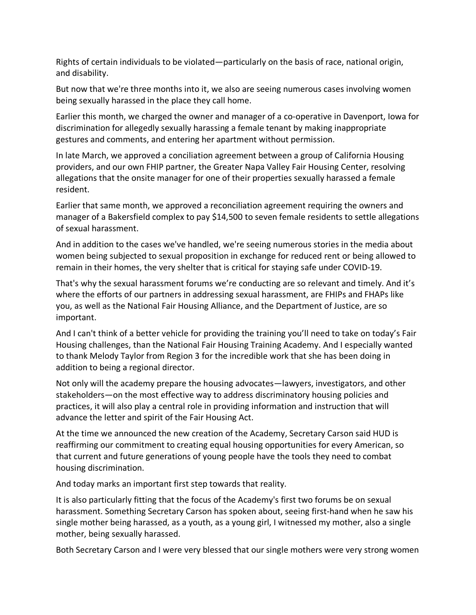Rights of certain individuals to be violated—particularly on the basis of race, national origin, and disability.

But now that we're three months into it, we also are seeing numerous cases involving women being sexually harassed in the place they call home.

Earlier this month, we charged the owner and manager of a co-operative in Davenport, Iowa for discrimination for allegedly sexually harassing a female tenant by making inappropriate gestures and comments, and entering her apartment without permission.

In late March, we approved a conciliation agreement between a group of California Housing providers, and our own FHIP partner, the Greater Napa Valley Fair Housing Center, resolving allegations that the onsite manager for one of their properties sexually harassed a female resident.

Earlier that same month, we approved a reconciliation agreement requiring the owners and manager of a Bakersfield complex to pay \$14,500 to seven female residents to settle allegations of sexual harassment.

And in addition to the cases we've handled, we're seeing numerous stories in the media about women being subjected to sexual proposition in exchange for reduced rent or being allowed to remain in their homes, the very shelter that is critical for staying safe under COVID-19.

That's why the sexual harassment forums we're conducting are so relevant and timely. And it's where the efforts of our partners in addressing sexual harassment, are FHIPs and FHAPs like you, as well as the National Fair Housing Alliance, and the Department of Justice, are so important.

And I can't think of a better vehicle for providing the training you'll need to take on today's Fair Housing challenges, than the National Fair Housing Training Academy. And I especially wanted to thank Melody Taylor from Region 3 for the incredible work that she has been doing in addition to being a regional director.

Not only will the academy prepare the housing advocates—lawyers, investigators, and other stakeholders—on the most effective way to address discriminatory housing policies and practices, it will also play a central role in providing information and instruction that will advance the letter and spirit of the Fair Housing Act.

At the time we announced the new creation of the Academy, Secretary Carson said HUD is reaffirming our commitment to creating equal housing opportunities for every American, so that current and future generations of young people have the tools they need to combat housing discrimination.

And today marks an important first step towards that reality.

It is also particularly fitting that the focus of the Academy's first two forums be on sexual harassment. Something Secretary Carson has spoken about, seeing first-hand when he saw his single mother being harassed, as a youth, as a young girl, I witnessed my mother, also a single mother, being sexually harassed.

Both Secretary Carson and I were very blessed that our single mothers were very strong women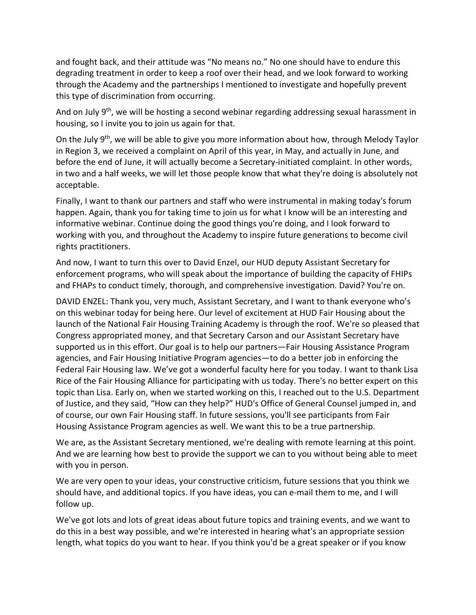and fought back, and their attitude was "No means no." No one should have to endure this degrading treatment in order to keep a roof over their head, and we look forward to working through the Academy and the partnerships I mentioned to investigate and hopefully prevent this type of discrimination from occurring.

And on July  $9<sup>th</sup>$ , we will be hosting a second webinar regarding addressing sexual harassment in housing, so I invite you to join us again for that.

On the July 9<sup>th</sup>, we will be able to give you more information about how, through Melody Taylor in Region 3, we received a complaint on April of this year, in May, and actually in June, and before the end of June, it will actually become a Secretary-initiated complaint. In other words, in two and a half weeks, we will let those people know that what they're doing is absolutely not acceptable.

Finally, I want to thank our partners and staff who were instrumental in making today's forum happen. Again, thank you for taking time to join us for what I know will be an interesting and informative webinar. Continue doing the good things you're doing, and I look forward to working with you, and throughout the Academy to inspire future generations to become civil rights practitioners.

And now, I want to turn this over to David Enzel, our HUD deputy Assistant Secretary for enforcement programs, who will speak about the importance of building the capacity of FHIPs and FHAPs to conduct timely, thorough, and comprehensive investigation. David? You're on.

DAVID ENZEL: Thank you, very much, Assistant Secretary, and I want to thank everyone who's on this webinar today for being here. Our level of excitement at HUD Fair Housing about the launch of the National Fair Housing Training Academy is through the roof. We're so pleased that Congress appropriated money, and that Secretary Carson and our Assistant Secretary have supported us in this effort. Our goal is to help our partners—Fair Housing Assistance Program agencies, and Fair Housing Initiative Program agencies—to do a better job in enforcing the Federal Fair Housing law. We've got a wonderful faculty here for you today. I want to thank Lisa Rice of the Fair Housing Alliance for participating with us today. There's no better expert on this topic than Lisa. Early on, when we started working on this, I reached out to the U.S. Department of Justice, and they said, "How can they help?" HUD's Office of General Counsel jumped in, and of course, our own Fair Housing staff. In future sessions, you'll see participants from Fair Housing Assistance Program agencies as well. We want this to be a true partnership.

We are, as the Assistant Secretary mentioned, we're dealing with remote learning at this point. And we are learning how best to provide the support we can to you without being able to meet with you in person.

We are very open to your ideas, your constructive criticism, future sessions that you think we should have, and additional topics. If you have ideas, you can e-mail them to me, and I will follow up.

We've got lots and lots of great ideas about future topics and training events, and we want to do this in a best way possible, and we're interested in hearing what's an appropriate session length, what topics do you want to hear. If you think you'd be a great speaker or if you know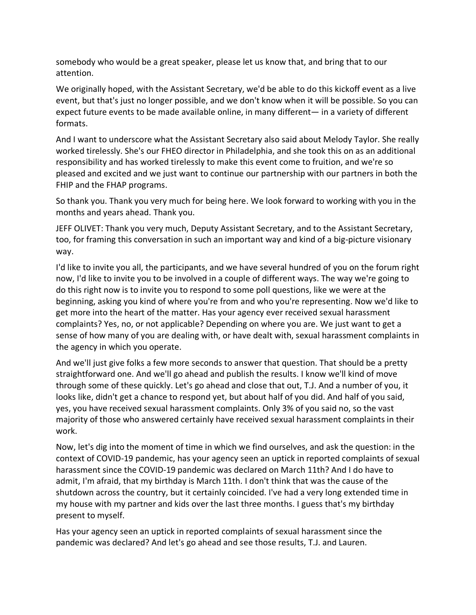somebody who would be a great speaker, please let us know that, and bring that to our attention.

We originally hoped, with the Assistant Secretary, we'd be able to do this kickoff event as a live event, but that's just no longer possible, and we don't know when it will be possible. So you can expect future events to be made available online, in many different— in a variety of different formats.

And I want to underscore what the Assistant Secretary also said about Melody Taylor. She really worked tirelessly. She's our FHEO director in Philadelphia, and she took this on as an additional responsibility and has worked tirelessly to make this event come to fruition, and we're so pleased and excited and we just want to continue our partnership with our partners in both the FHIP and the FHAP programs.

So thank you. Thank you very much for being here. We look forward to working with you in the months and years ahead. Thank you.

JEFF OLIVET: Thank you very much, Deputy Assistant Secretary, and to the Assistant Secretary, too, for framing this conversation in such an important way and kind of a big-picture visionary way.

I'd like to invite you all, the participants, and we have several hundred of you on the forum right now, I'd like to invite you to be involved in a couple of different ways. The way we're going to do this right now is to invite you to respond to some poll questions, like we were at the beginning, asking you kind of where you're from and who you're representing. Now we'd like to get more into the heart of the matter. Has your agency ever received sexual harassment complaints? Yes, no, or not applicable? Depending on where you are. We just want to get a sense of how many of you are dealing with, or have dealt with, sexual harassment complaints in the agency in which you operate.

And we'll just give folks a few more seconds to answer that question. That should be a pretty straightforward one. And we'll go ahead and publish the results. I know we'll kind of move through some of these quickly. Let's go ahead and close that out, T.J. And a number of you, it looks like, didn't get a chance to respond yet, but about half of you did. And half of you said, yes, you have received sexual harassment complaints. Only 3% of you said no, so the vast majority of those who answered certainly have received sexual harassment complaints in their work.

Now, let's dig into the moment of time in which we find ourselves, and ask the question: in the context of COVID-19 pandemic, has your agency seen an uptick in reported complaints of sexual harassment since the COVID-19 pandemic was declared on March 11th? And I do have to admit, I'm afraid, that my birthday is March 11th. I don't think that was the cause of the shutdown across the country, but it certainly coincided. I've had a very long extended time in my house with my partner and kids over the last three months. I guess that's my birthday present to myself.

Has your agency seen an uptick in reported complaints of sexual harassment since the pandemic was declared? And let's go ahead and see those results, T.J. and Lauren.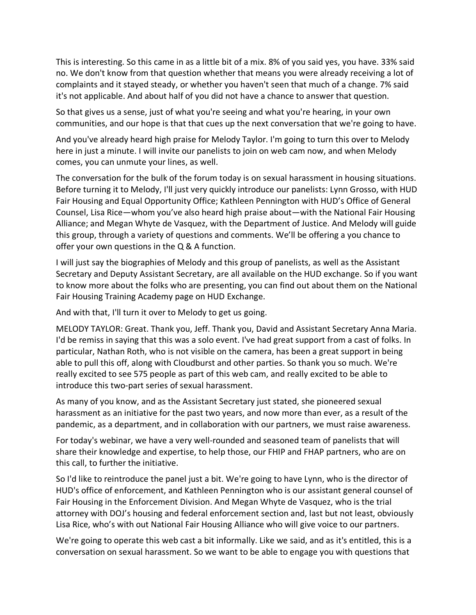This is interesting. So this came in as a little bit of a mix. 8% of you said yes, you have. 33% said no. We don't know from that question whether that means you were already receiving a lot of complaints and it stayed steady, or whether you haven't seen that much of a change. 7% said it's not applicable. And about half of you did not have a chance to answer that question.

So that gives us a sense, just of what you're seeing and what you're hearing, in your own communities, and our hope is that that cues up the next conversation that we're going to have.

And you've already heard high praise for Melody Taylor. I'm going to turn this over to Melody here in just a minute. I will invite our panelists to join on web cam now, and when Melody comes, you can unmute your lines, as well.

The conversation for the bulk of the forum today is on sexual harassment in housing situations. Before turning it to Melody, I'll just very quickly introduce our panelists: Lynn Grosso, with HUD Fair Housing and Equal Opportunity Office; Kathleen Pennington with HUD's Office of General Counsel, Lisa Rice—whom you've also heard high praise about—with the National Fair Housing Alliance; and Megan Whyte de Vasquez, with the Department of Justice. And Melody will guide this group, through a variety of questions and comments. We'll be offering a you chance to offer your own questions in the Q & A function.

I will just say the biographies of Melody and this group of panelists, as well as the Assistant Secretary and Deputy Assistant Secretary, are all available on the HUD exchange. So if you want to know more about the folks who are presenting, you can find out about them on the National Fair Housing Training Academy page on HUD Exchange.

And with that, I'll turn it over to Melody to get us going.

MELODY TAYLOR: Great. Thank you, Jeff. Thank you, David and Assistant Secretary Anna Maria. I'd be remiss in saying that this was a solo event. I've had great support from a cast of folks. In particular, Nathan Roth, who is not visible on the camera, has been a great support in being able to pull this off, along with Cloudburst and other parties. So thank you so much. We're really excited to see 575 people as part of this web cam, and really excited to be able to introduce this two-part series of sexual harassment.

As many of you know, and as the Assistant Secretary just stated, she pioneered sexual harassment as an initiative for the past two years, and now more than ever, as a result of the pandemic, as a department, and in collaboration with our partners, we must raise awareness.

For today's webinar, we have a very well-rounded and seasoned team of panelists that will share their knowledge and expertise, to help those, our FHIP and FHAP partners, who are on this call, to further the initiative.

So I'd like to reintroduce the panel just a bit. We're going to have Lynn, who is the director of HUD's office of enforcement, and Kathleen Pennington who is our assistant general counsel of Fair Housing in the Enforcement Division. And Megan Whyte de Vasquez, who is the trial attorney with DOJ's housing and federal enforcement section and, last but not least, obviously Lisa Rice, who's with out National Fair Housing Alliance who will give voice to our partners.

We're going to operate this web cast a bit informally. Like we said, and as it's entitled, this is a conversation on sexual harassment. So we want to be able to engage you with questions that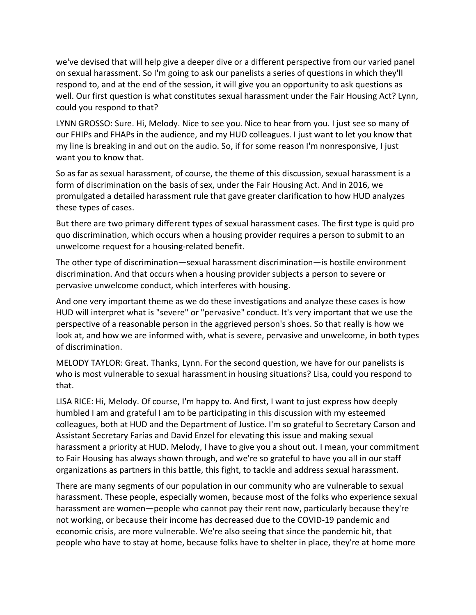we've devised that will help give a deeper dive or a different perspective from our varied panel on sexual harassment. So I'm going to ask our panelists a series of questions in which they'll respond to, and at the end of the session, it will give you an opportunity to ask questions as well. Our first question is what constitutes sexual harassment under the Fair Housing Act? Lynn, could you respond to that?

LYNN GROSSO: Sure. Hi, Melody. Nice to see you. Nice to hear from you. I just see so many of our FHIPs and FHAPs in the audience, and my HUD colleagues. I just want to let you know that my line is breaking in and out on the audio. So, if for some reason I'm nonresponsive, I just want you to know that.

So as far as sexual harassment, of course, the theme of this discussion, sexual harassment is a form of discrimination on the basis of sex, under the Fair Housing Act. And in 2016, we promulgated a detailed harassment rule that gave greater clarification to how HUD analyzes these types of cases.

But there are two primary different types of sexual harassment cases. The first type is quid pro quo discrimination, which occurs when a housing provider requires a person to submit to an unwelcome request for a housing-related benefit.

The other type of discrimination—sexual harassment discrimination—is hostile environment discrimination. And that occurs when a housing provider subjects a person to severe or pervasive unwelcome conduct, which interferes with housing.

And one very important theme as we do these investigations and analyze these cases is how HUD will interpret what is "severe" or "pervasive" conduct. It's very important that we use the perspective of a reasonable person in the aggrieved person's shoes. So that really is how we look at, and how we are informed with, what is severe, pervasive and unwelcome, in both types of discrimination.

MELODY TAYLOR: Great. Thanks, Lynn. For the second question, we have for our panelists is who is most vulnerable to sexual harassment in housing situations? Lisa, could you respond to that.

LISA RICE: Hi, Melody. Of course, I'm happy to. And first, I want to just express how deeply humbled I am and grateful I am to be participating in this discussion with my esteemed colleagues, both at HUD and the Department of Justice. I'm so grateful to Secretary Carson and Assistant Secretary Farías and David Enzel for elevating this issue and making sexual harassment a priority at HUD. Melody, I have to give you a shout out. I mean, your commitment to Fair Housing has always shown through, and we're so grateful to have you all in our staff organizations as partners in this battle, this fight, to tackle and address sexual harassment.

There are many segments of our population in our community who are vulnerable to sexual harassment. These people, especially women, because most of the folks who experience sexual harassment are women—people who cannot pay their rent now, particularly because they're not working, or because their income has decreased due to the COVID-19 pandemic and economic crisis, are more vulnerable. We're also seeing that since the pandemic hit, that people who have to stay at home, because folks have to shelter in place, they're at home more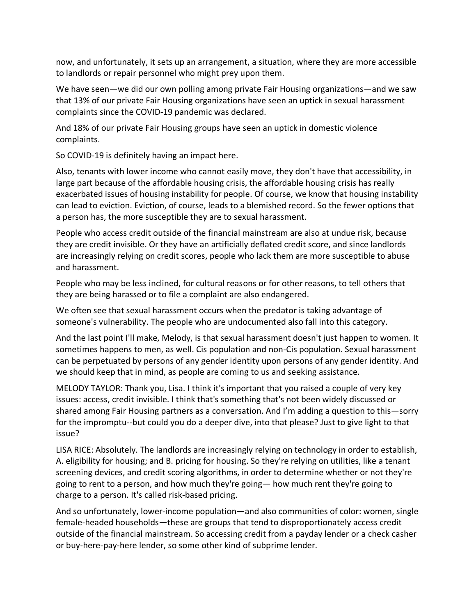now, and unfortunately, it sets up an arrangement, a situation, where they are more accessible to landlords or repair personnel who might prey upon them.

We have seen—we did our own polling among private Fair Housing organizations—and we saw that 13% of our private Fair Housing organizations have seen an uptick in sexual harassment complaints since the COVID-19 pandemic was declared.

And 18% of our private Fair Housing groups have seen an uptick in domestic violence complaints.

So COVID-19 is definitely having an impact here.

Also, tenants with lower income who cannot easily move, they don't have that accessibility, in large part because of the affordable housing crisis, the affordable housing crisis has really exacerbated issues of housing instability for people. Of course, we know that housing instability can lead to eviction. Eviction, of course, leads to a blemished record. So the fewer options that a person has, the more susceptible they are to sexual harassment.

People who access credit outside of the financial mainstream are also at undue risk, because they are credit invisible. Or they have an artificially deflated credit score, and since landlords are increasingly relying on credit scores, people who lack them are more susceptible to abuse and harassment.

People who may be less inclined, for cultural reasons or for other reasons, to tell others that they are being harassed or to file a complaint are also endangered.

We often see that sexual harassment occurs when the predator is taking advantage of someone's vulnerability. The people who are undocumented also fall into this category.

And the last point I'll make, Melody, is that sexual harassment doesn't just happen to women. It sometimes happens to men, as well. Cis population and non-Cis population. Sexual harassment can be perpetuated by persons of any gender identity upon persons of any gender identity. And we should keep that in mind, as people are coming to us and seeking assistance.

MELODY TAYLOR: Thank you, Lisa. I think it's important that you raised a couple of very key issues: access, credit invisible. I think that's something that's not been widely discussed or shared among Fair Housing partners as a conversation. And I'm adding a question to this—sorry for the impromptu--but could you do a deeper dive, into that please? Just to give light to that issue?

LISA RICE: Absolutely. The landlords are increasingly relying on technology in order to establish, A. eligibility for housing; and B. pricing for housing. So they're relying on utilities, like a tenant screening devices, and credit scoring algorithms, in order to determine whether or not they're going to rent to a person, and how much they're going— how much rent they're going to charge to a person. It's called risk-based pricing.

And so unfortunately, lower-income population—and also communities of color: women, single female-headed households—these are groups that tend to disproportionately access credit outside of the financial mainstream. So accessing credit from a payday lender or a check casher or buy-here-pay-here lender, so some other kind of subprime lender.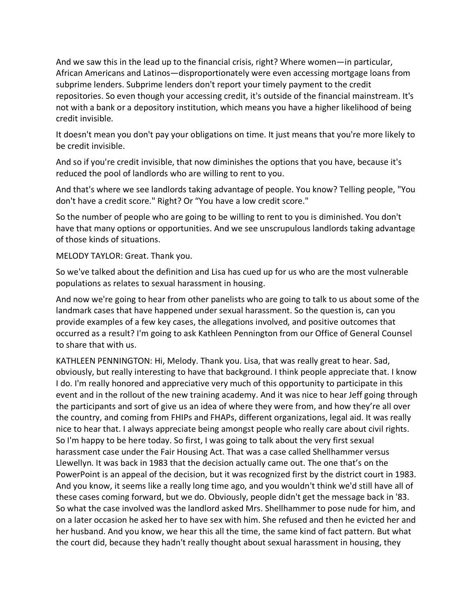And we saw this in the lead up to the financial crisis, right? Where women—in particular, African Americans and Latinos—disproportionately were even accessing mortgage loans from subprime lenders. Subprime lenders don't report your timely payment to the credit repositories. So even though your accessing credit, it's outside of the financial mainstream. It's not with a bank or a depository institution, which means you have a higher likelihood of being credit invisible.

It doesn't mean you don't pay your obligations on time. It just means that you're more likely to be credit invisible.

And so if you're credit invisible, that now diminishes the options that you have, because it's reduced the pool of landlords who are willing to rent to you.

And that's where we see landlords taking advantage of people. You know? Telling people, "You don't have a credit score." Right? Or "You have a low credit score."

So the number of people who are going to be willing to rent to you is diminished. You don't have that many options or opportunities. And we see unscrupulous landlords taking advantage of those kinds of situations.

MELODY TAYLOR: Great. Thank you.

So we've talked about the definition and Lisa has cued up for us who are the most vulnerable populations as relates to sexual harassment in housing.

And now we're going to hear from other panelists who are going to talk to us about some of the landmark cases that have happened under sexual harassment. So the question is, can you provide examples of a few key cases, the allegations involved, and positive outcomes that occurred as a result? I'm going to ask Kathleen Pennington from our Office of General Counsel to share that with us.

KATHLEEN PENNINGTON: Hi, Melody. Thank you. Lisa, that was really great to hear. Sad, obviously, but really interesting to have that background. I think people appreciate that. I know I do. I'm really honored and appreciative very much of this opportunity to participate in this event and in the rollout of the new training academy. And it was nice to hear Jeff going through the participants and sort of give us an idea of where they were from, and how they're all over the country, and coming from FHIPs and FHAPs, different organizations, legal aid. It was really nice to hear that. I always appreciate being amongst people who really care about civil rights. So I'm happy to be here today. So first, I was going to talk about the very first sexual harassment case under the Fair Housing Act. That was a case called Shellhammer versus Llewellyn. It was back in 1983 that the decision actually came out. The one that's on the PowerPoint is an appeal of the decision, but it was recognized first by the district court in 1983. And you know, it seems like a really long time ago, and you wouldn't think we'd still have all of these cases coming forward, but we do. Obviously, people didn't get the message back in '83. So what the case involved was the landlord asked Mrs. Shellhammer to pose nude for him, and on a later occasion he asked her to have sex with him. She refused and then he evicted her and her husband. And you know, we hear this all the time, the same kind of fact pattern. But what the court did, because they hadn't really thought about sexual harassment in housing, they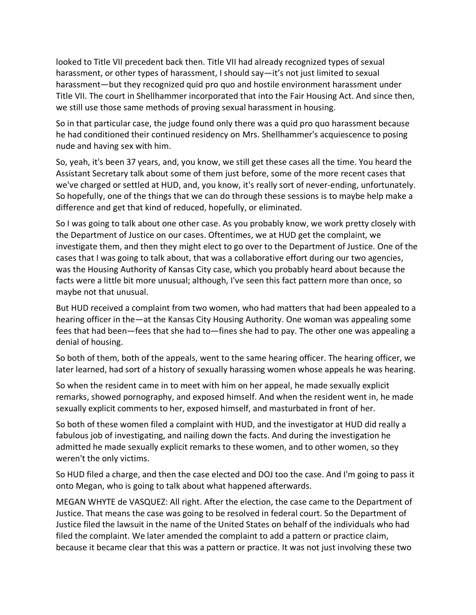looked to Title VII precedent back then. Title VII had already recognized types of sexual harassment, or other types of harassment, I should say—it's not just limited to sexual harassment—but they recognized quid pro quo and hostile environment harassment under Title VII. The court in Shellhammer incorporated that into the Fair Housing Act. And since then, we still use those same methods of proving sexual harassment in housing.

So in that particular case, the judge found only there was a quid pro quo harassment because he had conditioned their continued residency on Mrs. Shellhammer's acquiescence to posing nude and having sex with him.

So, yeah, it's been 37 years, and, you know, we still get these cases all the time. You heard the Assistant Secretary talk about some of them just before, some of the more recent cases that we've charged or settled at HUD, and, you know, it's really sort of never-ending, unfortunately. So hopefully, one of the things that we can do through these sessions is to maybe help make a difference and get that kind of reduced, hopefully, or eliminated.

So I was going to talk about one other case. As you probably know, we work pretty closely with the Department of Justice on our cases. Oftentimes, we at HUD get the complaint, we investigate them, and then they might elect to go over to the Department of Justice. One of the cases that I was going to talk about, that was a collaborative effort during our two agencies, was the Housing Authority of Kansas City case, which you probably heard about because the facts were a little bit more unusual; although, I've seen this fact pattern more than once, so maybe not that unusual.

But HUD received a complaint from two women, who had matters that had been appealed to a hearing officer in the—at the Kansas City Housing Authority. One woman was appealing some fees that had been—fees that she had to—fines she had to pay. The other one was appealing a denial of housing.

So both of them, both of the appeals, went to the same hearing officer. The hearing officer, we later learned, had sort of a history of sexually harassing women whose appeals he was hearing.

So when the resident came in to meet with him on her appeal, he made sexually explicit remarks, showed pornography, and exposed himself. And when the resident went in, he made sexually explicit comments to her, exposed himself, and masturbated in front of her.

So both of these women filed a complaint with HUD, and the investigator at HUD did really a fabulous job of investigating, and nailing down the facts. And during the investigation he admitted he made sexually explicit remarks to these women, and to other women, so they weren't the only victims.

So HUD filed a charge, and then the case elected and DOJ too the case. And I'm going to pass it onto Megan, who is going to talk about what happened afterwards.

MEGAN WHYTE de VASQUEZ: All right. After the election, the case came to the Department of Justice. That means the case was going to be resolved in federal court. So the Department of Justice filed the lawsuit in the name of the United States on behalf of the individuals who had filed the complaint. We later amended the complaint to add a pattern or practice claim, because it became clear that this was a pattern or practice. It was not just involving these two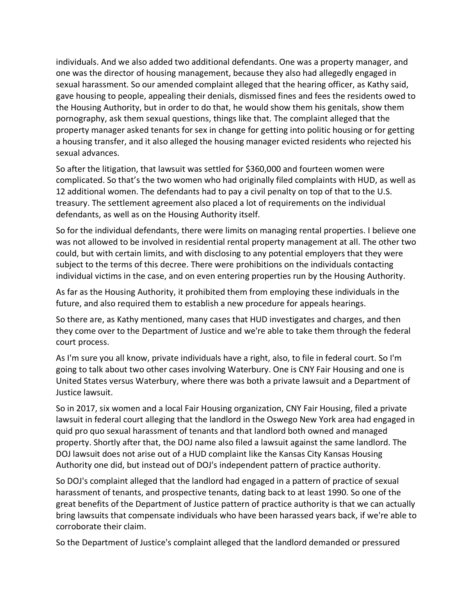individuals. And we also added two additional defendants. One was a property manager, and one was the director of housing management, because they also had allegedly engaged in sexual harassment. So our amended complaint alleged that the hearing officer, as Kathy said, gave housing to people, appealing their denials, dismissed fines and fees the residents owed to the Housing Authority, but in order to do that, he would show them his genitals, show them pornography, ask them sexual questions, things like that. The complaint alleged that the property manager asked tenants for sex in change for getting into politic housing or for getting a housing transfer, and it also alleged the housing manager evicted residents who rejected his sexual advances.

So after the litigation, that lawsuit was settled for \$360,000 and fourteen women were complicated. So that's the two women who had originally filed complaints with HUD, as well as 12 additional women. The defendants had to pay a civil penalty on top of that to the U.S. treasury. The settlement agreement also placed a lot of requirements on the individual defendants, as well as on the Housing Authority itself.

So for the individual defendants, there were limits on managing rental properties. I believe one was not allowed to be involved in residential rental property management at all. The other two could, but with certain limits, and with disclosing to any potential employers that they were subject to the terms of this decree. There were prohibitions on the individuals contacting individual victims in the case, and on even entering properties run by the Housing Authority.

As far as the Housing Authority, it prohibited them from employing these individuals in the future, and also required them to establish a new procedure for appeals hearings.

So there are, as Kathy mentioned, many cases that HUD investigates and charges, and then they come over to the Department of Justice and we're able to take them through the federal court process.

As I'm sure you all know, private individuals have a right, also, to file in federal court. So I'm going to talk about two other cases involving Waterbury. One is CNY Fair Housing and one is United States versus Waterbury, where there was both a private lawsuit and a Department of Justice lawsuit.

So in 2017, six women and a local Fair Housing organization, CNY Fair Housing, filed a private lawsuit in federal court alleging that the landlord in the Oswego New York area had engaged in quid pro quo sexual harassment of tenants and that landlord both owned and managed property. Shortly after that, the DOJ name also filed a lawsuit against the same landlord. The DOJ lawsuit does not arise out of a HUD complaint like the Kansas City Kansas Housing Authority one did, but instead out of DOJ's independent pattern of practice authority.

So DOJ's complaint alleged that the landlord had engaged in a pattern of practice of sexual harassment of tenants, and prospective tenants, dating back to at least 1990. So one of the great benefits of the Department of Justice pattern of practice authority is that we can actually bring lawsuits that compensate individuals who have been harassed years back, if we're able to corroborate their claim.

So the Department of Justice's complaint alleged that the landlord demanded or pressured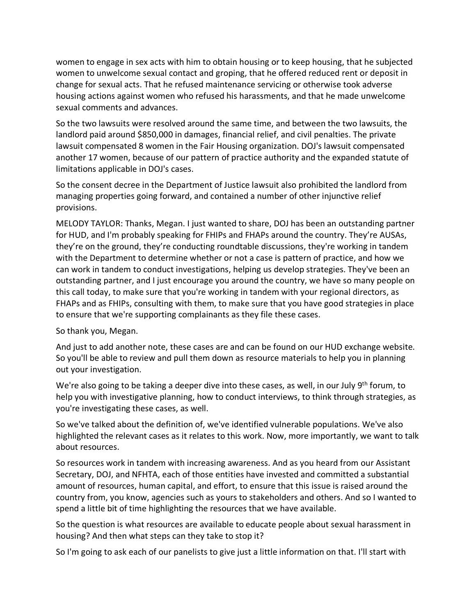women to engage in sex acts with him to obtain housing or to keep housing, that he subjected women to unwelcome sexual contact and groping, that he offered reduced rent or deposit in change for sexual acts. That he refused maintenance servicing or otherwise took adverse housing actions against women who refused his harassments, and that he made unwelcome sexual comments and advances.

So the two lawsuits were resolved around the same time, and between the two lawsuits, the landlord paid around \$850,000 in damages, financial relief, and civil penalties. The private lawsuit compensated 8 women in the Fair Housing organization. DOJ's lawsuit compensated another 17 women, because of our pattern of practice authority and the expanded statute of limitations applicable in DOJ's cases.

So the consent decree in the Department of Justice lawsuit also prohibited the landlord from managing properties going forward, and contained a number of other injunctive relief provisions.

MELODY TAYLOR: Thanks, Megan. I just wanted to share, DOJ has been an outstanding partner for HUD, and I'm probably speaking for FHIPs and FHAPs around the country. They're AUSAs, they're on the ground, they're conducting roundtable discussions, they're working in tandem with the Department to determine whether or not a case is pattern of practice, and how we can work in tandem to conduct investigations, helping us develop strategies. They've been an outstanding partner, and I just encourage you around the country, we have so many people on this call today, to make sure that you're working in tandem with your regional directors, as FHAPs and as FHIPs, consulting with them, to make sure that you have good strategies in place to ensure that we're supporting complainants as they file these cases.

So thank you, Megan.

And just to add another note, these cases are and can be found on our HUD exchange website. So you'll be able to review and pull them down as resource materials to help you in planning out your investigation.

We're also going to be taking a deeper dive into these cases, as well, in our July 9<sup>th</sup> forum, to help you with investigative planning, how to conduct interviews, to think through strategies, as you're investigating these cases, as well.

So we've talked about the definition of, we've identified vulnerable populations. We've also highlighted the relevant cases as it relates to this work. Now, more importantly, we want to talk about resources.

So resources work in tandem with increasing awareness. And as you heard from our Assistant Secretary, DOJ, and NFHTA, each of those entities have invested and committed a substantial amount of resources, human capital, and effort, to ensure that this issue is raised around the country from, you know, agencies such as yours to stakeholders and others. And so I wanted to spend a little bit of time highlighting the resources that we have available.

So the question is what resources are available to educate people about sexual harassment in housing? And then what steps can they take to stop it?

So I'm going to ask each of our panelists to give just a little information on that. I'll start with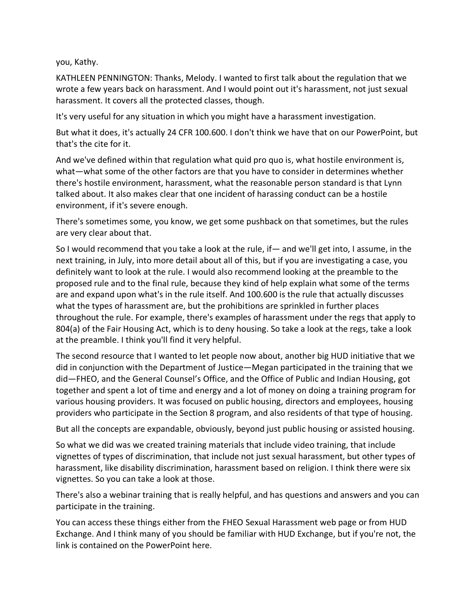you, Kathy.

KATHLEEN PENNINGTON: Thanks, Melody. I wanted to first talk about the regulation that we wrote a few years back on harassment. And I would point out it's harassment, not just sexual harassment. It covers all the protected classes, though.

It's very useful for any situation in which you might have a harassment investigation.

But what it does, it's actually 24 CFR 100.600. I don't think we have that on our PowerPoint, but that's the cite for it.

And we've defined within that regulation what quid pro quo is, what hostile environment is, what—what some of the other factors are that you have to consider in determines whether there's hostile environment, harassment, what the reasonable person standard is that Lynn talked about. It also makes clear that one incident of harassing conduct can be a hostile environment, if it's severe enough.

There's sometimes some, you know, we get some pushback on that sometimes, but the rules are very clear about that.

So I would recommend that you take a look at the rule, if— and we'll get into, I assume, in the next training, in July, into more detail about all of this, but if you are investigating a case, you definitely want to look at the rule. I would also recommend looking at the preamble to the proposed rule and to the final rule, because they kind of help explain what some of the terms are and expand upon what's in the rule itself. And 100.600 is the rule that actually discusses what the types of harassment are, but the prohibitions are sprinkled in further places throughout the rule. For example, there's examples of harassment under the regs that apply to 804(a) of the Fair Housing Act, which is to deny housing. So take a look at the regs, take a look at the preamble. I think you'll find it very helpful.

The second resource that I wanted to let people now about, another big HUD initiative that we did in conjunction with the Department of Justice—Megan participated in the training that we did—FHEO, and the General Counsel's Office, and the Office of Public and Indian Housing, got together and spent a lot of time and energy and a lot of money on doing a training program for various housing providers. It was focused on public housing, directors and employees, housing providers who participate in the Section 8 program, and also residents of that type of housing.

But all the concepts are expandable, obviously, beyond just public housing or assisted housing.

So what we did was we created training materials that include video training, that include vignettes of types of discrimination, that include not just sexual harassment, but other types of harassment, like disability discrimination, harassment based on religion. I think there were six vignettes. So you can take a look at those.

There's also a webinar training that is really helpful, and has questions and answers and you can participate in the training.

You can access these things either from the FHEO Sexual Harassment web page or from HUD Exchange. And I think many of you should be familiar with HUD Exchange, but if you're not, the link is contained on the PowerPoint here.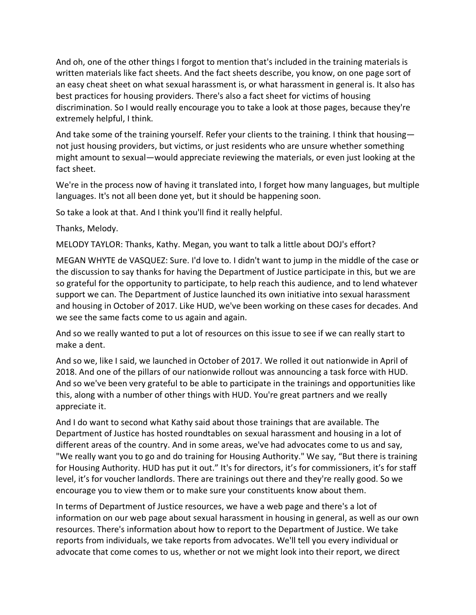And oh, one of the other things I forgot to mention that's included in the training materials is written materials like fact sheets. And the fact sheets describe, you know, on one page sort of an easy cheat sheet on what sexual harassment is, or what harassment in general is. It also has best practices for housing providers. There's also a fact sheet for victims of housing discrimination. So I would really encourage you to take a look at those pages, because they're extremely helpful, I think.

And take some of the training yourself. Refer your clients to the training. I think that housing not just housing providers, but victims, or just residents who are unsure whether something might amount to sexual—would appreciate reviewing the materials, or even just looking at the fact sheet.

We're in the process now of having it translated into, I forget how many languages, but multiple languages. It's not all been done yet, but it should be happening soon.

So take a look at that. And I think you'll find it really helpful.

Thanks, Melody.

MELODY TAYLOR: Thanks, Kathy. Megan, you want to talk a little about DOJ's effort?

MEGAN WHYTE de VASQUEZ: Sure. I'd love to. I didn't want to jump in the middle of the case or the discussion to say thanks for having the Department of Justice participate in this, but we are so grateful for the opportunity to participate, to help reach this audience, and to lend whatever support we can. The Department of Justice launched its own initiative into sexual harassment and housing in October of 2017. Like HUD, we've been working on these cases for decades. And we see the same facts come to us again and again.

And so we really wanted to put a lot of resources on this issue to see if we can really start to make a dent.

And so we, like I said, we launched in October of 2017. We rolled it out nationwide in April of 2018. And one of the pillars of our nationwide rollout was announcing a task force with HUD. And so we've been very grateful to be able to participate in the trainings and opportunities like this, along with a number of other things with HUD. You're great partners and we really appreciate it.

And I do want to second what Kathy said about those trainings that are available. The Department of Justice has hosted roundtables on sexual harassment and housing in a lot of different areas of the country. And in some areas, we've had advocates come to us and say, "We really want you to go and do training for Housing Authority." We say, "But there is training for Housing Authority. HUD has put it out." It's for directors, it's for commissioners, it's for staff level, it's for voucher landlords. There are trainings out there and they're really good. So we encourage you to view them or to make sure your constituents know about them.

In terms of Department of Justice resources, we have a web page and there's a lot of information on our web page about sexual harassment in housing in general, as well as our own resources. There's information about how to report to the Department of Justice. We take reports from individuals, we take reports from advocates. We'll tell you every individual or advocate that come comes to us, whether or not we might look into their report, we direct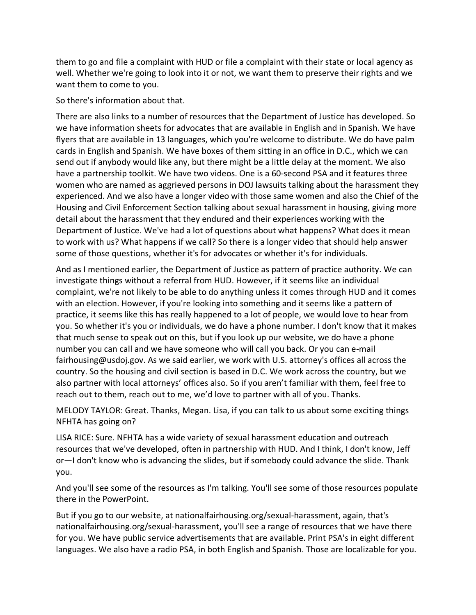them to go and file a complaint with HUD or file a complaint with their state or local agency as well. Whether we're going to look into it or not, we want them to preserve their rights and we want them to come to you.

## So there's information about that.

There are also links to a number of resources that the Department of Justice has developed. So we have information sheets for advocates that are available in English and in Spanish. We have flyers that are available in 13 languages, which you're welcome to distribute. We do have palm cards in English and Spanish. We have boxes of them sitting in an office in D.C., which we can send out if anybody would like any, but there might be a little delay at the moment. We also have a partnership toolkit. We have two videos. One is a 60-second PSA and it features three women who are named as aggrieved persons in DOJ lawsuits talking about the harassment they experienced. And we also have a longer video with those same women and also the Chief of the Housing and Civil Enforcement Section talking about sexual harassment in housing, giving more detail about the harassment that they endured and their experiences working with the Department of Justice. We've had a lot of questions about what happens? What does it mean to work with us? What happens if we call? So there is a longer video that should help answer some of those questions, whether it's for advocates or whether it's for individuals.

And as I mentioned earlier, the Department of Justice as pattern of practice authority. We can investigate things without a referral from HUD. However, if it seems like an individual complaint, we're not likely to be able to do anything unless it comes through HUD and it comes with an election. However, if you're looking into something and it seems like a pattern of practice, it seems like this has really happened to a lot of people, we would love to hear from you. So whether it's you or individuals, we do have a phone number. I don't know that it makes that much sense to speak out on this, but if you look up our website, we do have a phone number you can call and we have someone who will call you back. Or you can e-mail fairhousing@usdoj.gov. As we said earlier, we work with U.S. attorney's offices all across the country. So the housing and civil section is based in D.C. We work across the country, but we also partner with local attorneys' offices also. So if you aren't familiar with them, feel free to reach out to them, reach out to me, we'd love to partner with all of you. Thanks.

MELODY TAYLOR: Great. Thanks, Megan. Lisa, if you can talk to us about some exciting things NFHTA has going on?

LISA RICE: Sure. NFHTA has a wide variety of sexual harassment education and outreach resources that we've developed, often in partnership with HUD. And I think, I don't know, Jeff or—I don't know who is advancing the slides, but if somebody could advance the slide. Thank you.

And you'll see some of the resources as I'm talking. You'll see some of those resources populate there in the PowerPoint.

But if you go to our website, at nationalfairhousing.org/sexual-harassment, again, that's nationalfairhousing.org/sexual-harassment, you'll see a range of resources that we have there for you. We have public service advertisements that are available. Print PSA's in eight different languages. We also have a radio PSA, in both English and Spanish. Those are localizable for you.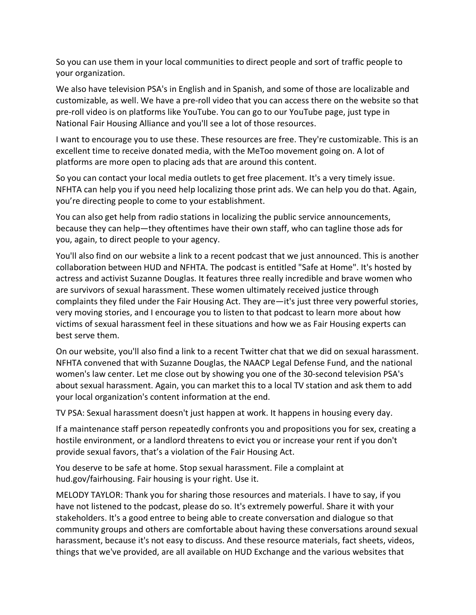So you can use them in your local communities to direct people and sort of traffic people to your organization.

We also have television PSA's in English and in Spanish, and some of those are localizable and customizable, as well. We have a pre-roll video that you can access there on the website so that pre-roll video is on platforms like YouTube. You can go to our YouTube page, just type in National Fair Housing Alliance and you'll see a lot of those resources.

I want to encourage you to use these. These resources are free. They're customizable. This is an excellent time to receive donated media, with the MeToo movement going on. A lot of platforms are more open to placing ads that are around this content.

So you can contact your local media outlets to get free placement. It's a very timely issue. NFHTA can help you if you need help localizing those print ads. We can help you do that. Again, you're directing people to come to your establishment.

You can also get help from radio stations in localizing the public service announcements, because they can help—they oftentimes have their own staff, who can tagline those ads for you, again, to direct people to your agency.

You'll also find on our website a link to a recent podcast that we just announced. This is another collaboration between HUD and NFHTA. The podcast is entitled "Safe at Home". It's hosted by actress and activist Suzanne Douglas. It features three really incredible and brave women who are survivors of sexual harassment. These women ultimately received justice through complaints they filed under the Fair Housing Act. They are—it's just three very powerful stories, very moving stories, and I encourage you to listen to that podcast to learn more about how victims of sexual harassment feel in these situations and how we as Fair Housing experts can best serve them.

On our website, you'll also find a link to a recent Twitter chat that we did on sexual harassment. NFHTA convened that with Suzanne Douglas, the NAACP Legal Defense Fund, and the national women's law center. Let me close out by showing you one of the 30-second television PSA's about sexual harassment. Again, you can market this to a local TV station and ask them to add your local organization's content information at the end.

TV PSA: Sexual harassment doesn't just happen at work. It happens in housing every day.

If a maintenance staff person repeatedly confronts you and propositions you for sex, creating a hostile environment, or a landlord threatens to evict you or increase your rent if you don't provide sexual favors, that's a violation of the Fair Housing Act.

You deserve to be safe at home. Stop sexual harassment. File a complaint at hud.gov/fairhousing. Fair housing is your right. Use it.

MELODY TAYLOR: Thank you for sharing those resources and materials. I have to say, if you have not listened to the podcast, please do so. It's extremely powerful. Share it with your stakeholders. It's a good entree to being able to create conversation and dialogue so that community groups and others are comfortable about having these conversations around sexual harassment, because it's not easy to discuss. And these resource materials, fact sheets, videos, things that we've provided, are all available on HUD Exchange and the various websites that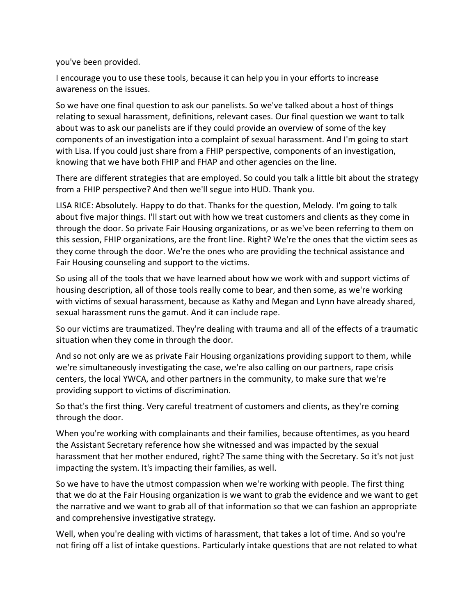you've been provided.

I encourage you to use these tools, because it can help you in your efforts to increase awareness on the issues.

So we have one final question to ask our panelists. So we've talked about a host of things relating to sexual harassment, definitions, relevant cases. Our final question we want to talk about was to ask our panelists are if they could provide an overview of some of the key components of an investigation into a complaint of sexual harassment. And I'm going to start with Lisa. If you could just share from a FHIP perspective, components of an investigation, knowing that we have both FHIP and FHAP and other agencies on the line.

There are different strategies that are employed. So could you talk a little bit about the strategy from a FHIP perspective? And then we'll segue into HUD. Thank you.

LISA RICE: Absolutely. Happy to do that. Thanks for the question, Melody. I'm going to talk about five major things. I'll start out with how we treat customers and clients as they come in through the door. So private Fair Housing organizations, or as we've been referring to them on this session, FHIP organizations, are the front line. Right? We're the ones that the victim sees as they come through the door. We're the ones who are providing the technical assistance and Fair Housing counseling and support to the victims.

So using all of the tools that we have learned about how we work with and support victims of housing description, all of those tools really come to bear, and then some, as we're working with victims of sexual harassment, because as Kathy and Megan and Lynn have already shared, sexual harassment runs the gamut. And it can include rape.

So our victims are traumatized. They're dealing with trauma and all of the effects of a traumatic situation when they come in through the door.

And so not only are we as private Fair Housing organizations providing support to them, while we're simultaneously investigating the case, we're also calling on our partners, rape crisis centers, the local YWCA, and other partners in the community, to make sure that we're providing support to victims of discrimination.

So that's the first thing. Very careful treatment of customers and clients, as they're coming through the door.

When you're working with complainants and their families, because oftentimes, as you heard the Assistant Secretary reference how she witnessed and was impacted by the sexual harassment that her mother endured, right? The same thing with the Secretary. So it's not just impacting the system. It's impacting their families, as well.

So we have to have the utmost compassion when we're working with people. The first thing that we do at the Fair Housing organization is we want to grab the evidence and we want to get the narrative and we want to grab all of that information so that we can fashion an appropriate and comprehensive investigative strategy.

Well, when you're dealing with victims of harassment, that takes a lot of time. And so you're not firing off a list of intake questions. Particularly intake questions that are not related to what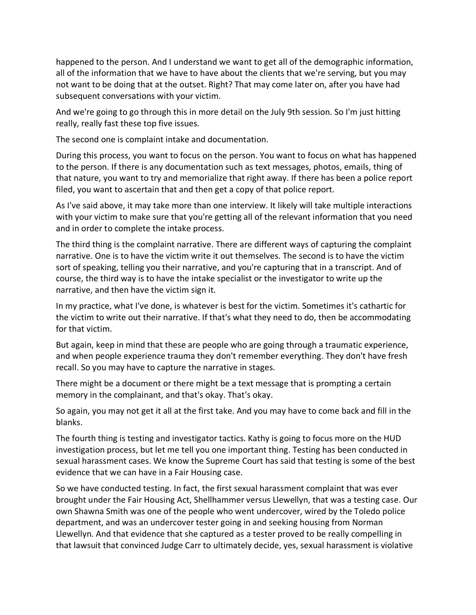happened to the person. And I understand we want to get all of the demographic information, all of the information that we have to have about the clients that we're serving, but you may not want to be doing that at the outset. Right? That may come later on, after you have had subsequent conversations with your victim.

And we're going to go through this in more detail on the July 9th session. So I'm just hitting really, really fast these top five issues.

The second one is complaint intake and documentation.

During this process, you want to focus on the person. You want to focus on what has happened to the person. If there is any documentation such as text messages, photos, emails, thing of that nature, you want to try and memorialize that right away. If there has been a police report filed, you want to ascertain that and then get a copy of that police report.

As I've said above, it may take more than one interview. It likely will take multiple interactions with your victim to make sure that you're getting all of the relevant information that you need and in order to complete the intake process.

The third thing is the complaint narrative. There are different ways of capturing the complaint narrative. One is to have the victim write it out themselves. The second is to have the victim sort of speaking, telling you their narrative, and you're capturing that in a transcript. And of course, the third way is to have the intake specialist or the investigator to write up the narrative, and then have the victim sign it.

In my practice, what I've done, is whatever is best for the victim. Sometimes it's cathartic for the victim to write out their narrative. If that's what they need to do, then be accommodating for that victim.

But again, keep in mind that these are people who are going through a traumatic experience, and when people experience trauma they don't remember everything. They don't have fresh recall. So you may have to capture the narrative in stages.

There might be a document or there might be a text message that is prompting a certain memory in the complainant, and that's okay. That's okay.

So again, you may not get it all at the first take. And you may have to come back and fill in the blanks.

The fourth thing is testing and investigator tactics. Kathy is going to focus more on the HUD investigation process, but let me tell you one important thing. Testing has been conducted in sexual harassment cases. We know the Supreme Court has said that testing is some of the best evidence that we can have in a Fair Housing case.

So we have conducted testing. In fact, the first sexual harassment complaint that was ever brought under the Fair Housing Act, Shellhammer versus Llewellyn, that was a testing case. Our own Shawna Smith was one of the people who went undercover, wired by the Toledo police department, and was an undercover tester going in and seeking housing from Norman Llewellyn. And that evidence that she captured as a tester proved to be really compelling in that lawsuit that convinced Judge Carr to ultimately decide, yes, sexual harassment is violative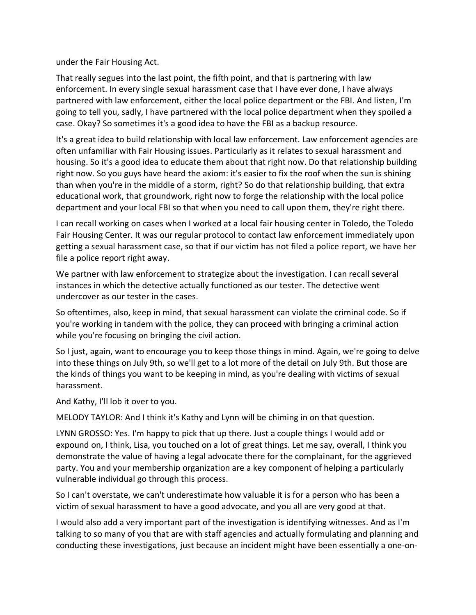under the Fair Housing Act.

That really segues into the last point, the fifth point, and that is partnering with law enforcement. In every single sexual harassment case that I have ever done, I have always partnered with law enforcement, either the local police department or the FBI. And listen, I'm going to tell you, sadly, I have partnered with the local police department when they spoiled a case. Okay? So sometimes it's a good idea to have the FBI as a backup resource.

It's a great idea to build relationship with local law enforcement. Law enforcement agencies are often unfamiliar with Fair Housing issues. Particularly as it relates to sexual harassment and housing. So it's a good idea to educate them about that right now. Do that relationship building right now. So you guys have heard the axiom: it's easier to fix the roof when the sun is shining than when you're in the middle of a storm, right? So do that relationship building, that extra educational work, that groundwork, right now to forge the relationship with the local police department and your local FBI so that when you need to call upon them, they're right there.

I can recall working on cases when I worked at a local fair housing center in Toledo, the Toledo Fair Housing Center. It was our regular protocol to contact law enforcement immediately upon getting a sexual harassment case, so that if our victim has not filed a police report, we have her file a police report right away.

We partner with law enforcement to strategize about the investigation. I can recall several instances in which the detective actually functioned as our tester. The detective went undercover as our tester in the cases.

So oftentimes, also, keep in mind, that sexual harassment can violate the criminal code. So if you're working in tandem with the police, they can proceed with bringing a criminal action while you're focusing on bringing the civil action.

So I just, again, want to encourage you to keep those things in mind. Again, we're going to delve into these things on July 9th, so we'll get to a lot more of the detail on July 9th. But those are the kinds of things you want to be keeping in mind, as you're dealing with victims of sexual harassment.

And Kathy, I'll lob it over to you.

MELODY TAYLOR: And I think it's Kathy and Lynn will be chiming in on that question.

LYNN GROSSO: Yes. I'm happy to pick that up there. Just a couple things I would add or expound on, I think, Lisa, you touched on a lot of great things. Let me say, overall, I think you demonstrate the value of having a legal advocate there for the complainant, for the aggrieved party. You and your membership organization are a key component of helping a particularly vulnerable individual go through this process.

So I can't overstate, we can't underestimate how valuable it is for a person who has been a victim of sexual harassment to have a good advocate, and you all are very good at that.

I would also add a very important part of the investigation is identifying witnesses. And as I'm talking to so many of you that are with staff agencies and actually formulating and planning and conducting these investigations, just because an incident might have been essentially a one-on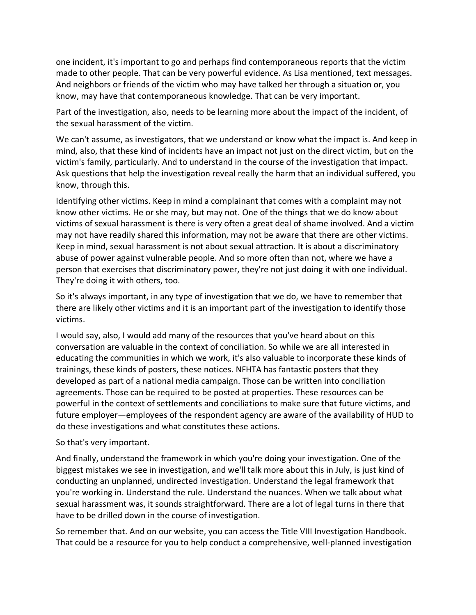one incident, it's important to go and perhaps find contemporaneous reports that the victim made to other people. That can be very powerful evidence. As Lisa mentioned, text messages. And neighbors or friends of the victim who may have talked her through a situation or, you know, may have that contemporaneous knowledge. That can be very important.

Part of the investigation, also, needs to be learning more about the impact of the incident, of the sexual harassment of the victim.

We can't assume, as investigators, that we understand or know what the impact is. And keep in mind, also, that these kind of incidents have an impact not just on the direct victim, but on the victim's family, particularly. And to understand in the course of the investigation that impact. Ask questions that help the investigation reveal really the harm that an individual suffered, you know, through this.

Identifying other victims. Keep in mind a complainant that comes with a complaint may not know other victims. He or she may, but may not. One of the things that we do know about victims of sexual harassment is there is very often a great deal of shame involved. And a victim may not have readily shared this information, may not be aware that there are other victims. Keep in mind, sexual harassment is not about sexual attraction. It is about a discriminatory abuse of power against vulnerable people. And so more often than not, where we have a person that exercises that discriminatory power, they're not just doing it with one individual. They're doing it with others, too.

So it's always important, in any type of investigation that we do, we have to remember that there are likely other victims and it is an important part of the investigation to identify those victims.

I would say, also, I would add many of the resources that you've heard about on this conversation are valuable in the context of conciliation. So while we are all interested in educating the communities in which we work, it's also valuable to incorporate these kinds of trainings, these kinds of posters, these notices. NFHTA has fantastic posters that they developed as part of a national media campaign. Those can be written into conciliation agreements. Those can be required to be posted at properties. These resources can be powerful in the context of settlements and conciliations to make sure that future victims, and future employer—employees of the respondent agency are aware of the availability of HUD to do these investigations and what constitutes these actions.

## So that's very important.

And finally, understand the framework in which you're doing your investigation. One of the biggest mistakes we see in investigation, and we'll talk more about this in July, is just kind of conducting an unplanned, undirected investigation. Understand the legal framework that you're working in. Understand the rule. Understand the nuances. When we talk about what sexual harassment was, it sounds straightforward. There are a lot of legal turns in there that have to be drilled down in the course of investigation.

So remember that. And on our website, you can access the Title VIII Investigation Handbook. That could be a resource for you to help conduct a comprehensive, well-planned investigation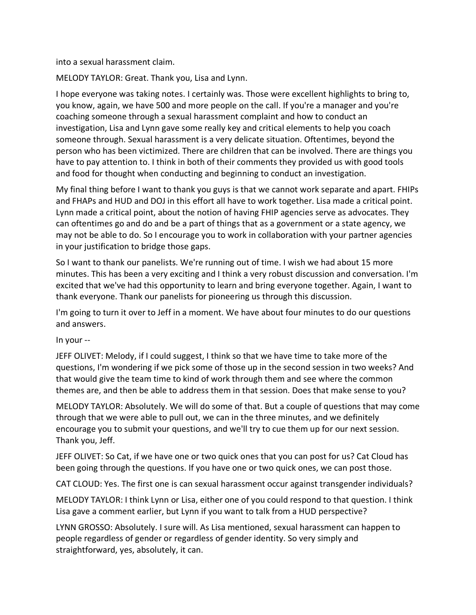into a sexual harassment claim.

MELODY TAYLOR: Great. Thank you, Lisa and Lynn.

I hope everyone was taking notes. I certainly was. Those were excellent highlights to bring to, you know, again, we have 500 and more people on the call. If you're a manager and you're coaching someone through a sexual harassment complaint and how to conduct an investigation, Lisa and Lynn gave some really key and critical elements to help you coach someone through. Sexual harassment is a very delicate situation. Oftentimes, beyond the person who has been victimized. There are children that can be involved. There are things you have to pay attention to. I think in both of their comments they provided us with good tools and food for thought when conducting and beginning to conduct an investigation.

My final thing before I want to thank you guys is that we cannot work separate and apart. FHIPs and FHAPs and HUD and DOJ in this effort all have to work together. Lisa made a critical point. Lynn made a critical point, about the notion of having FHIP agencies serve as advocates. They can oftentimes go and do and be a part of things that as a government or a state agency, we may not be able to do. So I encourage you to work in collaboration with your partner agencies in your justification to bridge those gaps.

So I want to thank our panelists. We're running out of time. I wish we had about 15 more minutes. This has been a very exciting and I think a very robust discussion and conversation. I'm excited that we've had this opportunity to learn and bring everyone together. Again, I want to thank everyone. Thank our panelists for pioneering us through this discussion.

I'm going to turn it over to Jeff in a moment. We have about four minutes to do our questions and answers.

In your --

JEFF OLIVET: Melody, if I could suggest, I think so that we have time to take more of the questions, I'm wondering if we pick some of those up in the second session in two weeks? And that would give the team time to kind of work through them and see where the common themes are, and then be able to address them in that session. Does that make sense to you?

MELODY TAYLOR: Absolutely. We will do some of that. But a couple of questions that may come through that we were able to pull out, we can in the three minutes, and we definitely encourage you to submit your questions, and we'll try to cue them up for our next session. Thank you, Jeff.

JEFF OLIVET: So Cat, if we have one or two quick ones that you can post for us? Cat Cloud has been going through the questions. If you have one or two quick ones, we can post those.

CAT CLOUD: Yes. The first one is can sexual harassment occur against transgender individuals?

MELODY TAYLOR: I think Lynn or Lisa, either one of you could respond to that question. I think Lisa gave a comment earlier, but Lynn if you want to talk from a HUD perspective?

LYNN GROSSO: Absolutely. I sure will. As Lisa mentioned, sexual harassment can happen to people regardless of gender or regardless of gender identity. So very simply and straightforward, yes, absolutely, it can.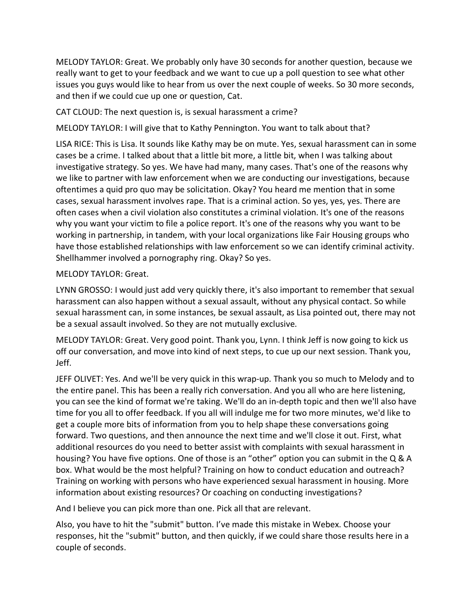MELODY TAYLOR: Great. We probably only have 30 seconds for another question, because we really want to get to your feedback and we want to cue up a poll question to see what other issues you guys would like to hear from us over the next couple of weeks. So 30 more seconds, and then if we could cue up one or question, Cat.

CAT CLOUD: The next question is, is sexual harassment a crime?

MELODY TAYLOR: I will give that to Kathy Pennington. You want to talk about that?

LISA RICE: This is Lisa. It sounds like Kathy may be on mute. Yes, sexual harassment can in some cases be a crime. I talked about that a little bit more, a little bit, when I was talking about investigative strategy. So yes. We have had many, many cases. That's one of the reasons why we like to partner with law enforcement when we are conducting our investigations, because oftentimes a quid pro quo may be solicitation. Okay? You heard me mention that in some cases, sexual harassment involves rape. That is a criminal action. So yes, yes, yes. There are often cases when a civil violation also constitutes a criminal violation. It's one of the reasons why you want your victim to file a police report. It's one of the reasons why you want to be working in partnership, in tandem, with your local organizations like Fair Housing groups who have those established relationships with law enforcement so we can identify criminal activity. Shellhammer involved a pornography ring. Okay? So yes.

## MELODY TAYLOR: Great.

LYNN GROSSO: I would just add very quickly there, it's also important to remember that sexual harassment can also happen without a sexual assault, without any physical contact. So while sexual harassment can, in some instances, be sexual assault, as Lisa pointed out, there may not be a sexual assault involved. So they are not mutually exclusive.

MELODY TAYLOR: Great. Very good point. Thank you, Lynn. I think Jeff is now going to kick us off our conversation, and move into kind of next steps, to cue up our next session. Thank you, Jeff.

JEFF OLIVET: Yes. And we'll be very quick in this wrap-up. Thank you so much to Melody and to the entire panel. This has been a really rich conversation. And you all who are here listening, you can see the kind of format we're taking. We'll do an in-depth topic and then we'll also have time for you all to offer feedback. If you all will indulge me for two more minutes, we'd like to get a couple more bits of information from you to help shape these conversations going forward. Two questions, and then announce the next time and we'll close it out. First, what additional resources do you need to better assist with complaints with sexual harassment in housing? You have five options. One of those is an "other" option you can submit in the Q & A box. What would be the most helpful? Training on how to conduct education and outreach? Training on working with persons who have experienced sexual harassment in housing. More information about existing resources? Or coaching on conducting investigations?

And I believe you can pick more than one. Pick all that are relevant.

Also, you have to hit the "submit" button. I've made this mistake in Webex. Choose your responses, hit the "submit" button, and then quickly, if we could share those results here in a couple of seconds.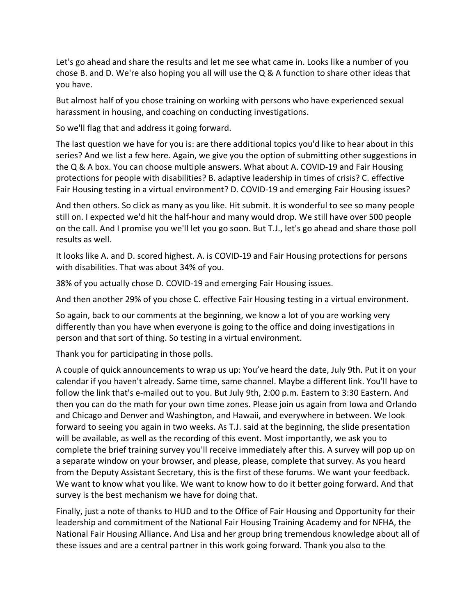Let's go ahead and share the results and let me see what came in. Looks like a number of you chose B. and D. We're also hoping you all will use the Q & A function to share other ideas that you have.

But almost half of you chose training on working with persons who have experienced sexual harassment in housing, and coaching on conducting investigations.

So we'll flag that and address it going forward.

The last question we have for you is: are there additional topics you'd like to hear about in this series? And we list a few here. Again, we give you the option of submitting other suggestions in the Q & A box. You can choose multiple answers. What about A. COVID-19 and Fair Housing protections for people with disabilities? B. adaptive leadership in times of crisis? C. effective Fair Housing testing in a virtual environment? D. COVID-19 and emerging Fair Housing issues?

And then others. So click as many as you like. Hit submit. It is wonderful to see so many people still on. I expected we'd hit the half-hour and many would drop. We still have over 500 people on the call. And I promise you we'll let you go soon. But T.J., let's go ahead and share those poll results as well.

It looks like A. and D. scored highest. A. is COVID-19 and Fair Housing protections for persons with disabilities. That was about 34% of you.

38% of you actually chose D. COVID-19 and emerging Fair Housing issues.

And then another 29% of you chose C. effective Fair Housing testing in a virtual environment.

So again, back to our comments at the beginning, we know a lot of you are working very differently than you have when everyone is going to the office and doing investigations in person and that sort of thing. So testing in a virtual environment.

Thank you for participating in those polls.

A couple of quick announcements to wrap us up: You've heard the date, July 9th. Put it on your calendar if you haven't already. Same time, same channel. Maybe a different link. You'll have to follow the link that's e-mailed out to you. But July 9th, 2:00 p.m. Eastern to 3:30 Eastern. And then you can do the math for your own time zones. Please join us again from Iowa and Orlando and Chicago and Denver and Washington, and Hawaii, and everywhere in between. We look forward to seeing you again in two weeks. As T.J. said at the beginning, the slide presentation will be available, as well as the recording of this event. Most importantly, we ask you to complete the brief training survey you'll receive immediately after this. A survey will pop up on a separate window on your browser, and please, please, complete that survey. As you heard from the Deputy Assistant Secretary, this is the first of these forums. We want your feedback. We want to know what you like. We want to know how to do it better going forward. And that survey is the best mechanism we have for doing that.

Finally, just a note of thanks to HUD and to the Office of Fair Housing and Opportunity for their leadership and commitment of the National Fair Housing Training Academy and for NFHA, the National Fair Housing Alliance. And Lisa and her group bring tremendous knowledge about all of these issues and are a central partner in this work going forward. Thank you also to the